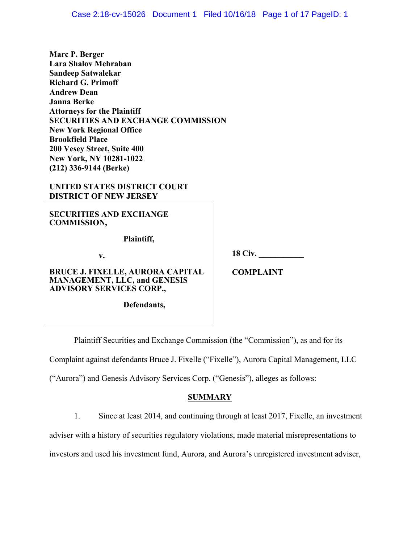| Marc P. Berger                                                                                                    |                  |
|-------------------------------------------------------------------------------------------------------------------|------------------|
| <b>Lara Shalov Mehraban</b>                                                                                       |                  |
| <b>Sandeep Satwalekar</b>                                                                                         |                  |
| <b>Richard G. Primoff</b>                                                                                         |                  |
| <b>Andrew Dean</b>                                                                                                |                  |
| Janna Berke                                                                                                       |                  |
| <b>Attorneys for the Plaintiff</b>                                                                                |                  |
| <b>SECURITIES AND EXCHANGE COMMISSION</b>                                                                         |                  |
| <b>New York Regional Office</b>                                                                                   |                  |
| <b>Brookfield Place</b>                                                                                           |                  |
| 200 Vesey Street, Suite 400                                                                                       |                  |
| New York, NY 10281-1022                                                                                           |                  |
| (212) 336-9144 (Berke)                                                                                            |                  |
| UNITED STATES DISTRICT COURT<br><b>DISTRICT OF NEW JERSEY</b>                                                     |                  |
| <b>SECURITIES AND EXCHANGE</b><br><b>COMMISSION,</b>                                                              |                  |
| Plaintiff,                                                                                                        |                  |
| v.                                                                                                                | <b>18 Civ.</b>   |
| <b>BRUCE J. FIXELLE, AURORA CAPITAL</b><br><b>MANAGEMENT, LLC, and GENESIS</b><br><b>ADVISORY SERVICES CORP.,</b> | <b>COMPLAINT</b> |
| Defendants,                                                                                                       |                  |

Plaintiff Securities and Exchange Commission (the "Commission"), as and for its

Complaint against defendants Bruce J. Fixelle ("Fixelle"), Aurora Capital Management, LLC

("Aurora") and Genesis Advisory Services Corp. ("Genesis"), alleges as follows:

# **SUMMARY**

1. Since at least 2014, and continuing through at least 2017, Fixelle, an investment

adviser with a history of securities regulatory violations, made material misrepresentations to

investors and used his investment fund, Aurora, and Aurora's unregistered investment adviser,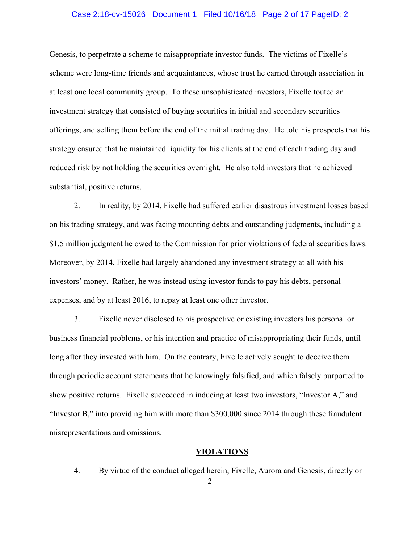#### Case 2:18-cv-15026 Document 1 Filed 10/16/18 Page 2 of 17 PageID: 2

Genesis, to perpetrate a scheme to misappropriate investor funds. The victims of Fixelle's scheme were long-time friends and acquaintances, whose trust he earned through association in at least one local community group. To these unsophisticated investors, Fixelle touted an investment strategy that consisted of buying securities in initial and secondary securities offerings, and selling them before the end of the initial trading day. He told his prospects that his strategy ensured that he maintained liquidity for his clients at the end of each trading day and reduced risk by not holding the securities overnight. He also told investors that he achieved substantial, positive returns.

2. In reality, by 2014, Fixelle had suffered earlier disastrous investment losses based on his trading strategy, and was facing mounting debts and outstanding judgments, including a \$1.5 million judgment he owed to the Commission for prior violations of federal securities laws. Moreover, by 2014, Fixelle had largely abandoned any investment strategy at all with his investors' money. Rather, he was instead using investor funds to pay his debts, personal expenses, and by at least 2016, to repay at least one other investor.

3. Fixelle never disclosed to his prospective or existing investors his personal or business financial problems, or his intention and practice of misappropriating their funds, until long after they invested with him. On the contrary, Fixelle actively sought to deceive them through periodic account statements that he knowingly falsified, and which falsely purported to show positive returns. Fixelle succeeded in inducing at least two investors, "Investor A," and "Investor B," into providing him with more than \$300,000 since 2014 through these fraudulent misrepresentations and omissions.

### **VIOLATIONS**

4. By virtue of the conduct alleged herein, Fixelle, Aurora and Genesis, directly or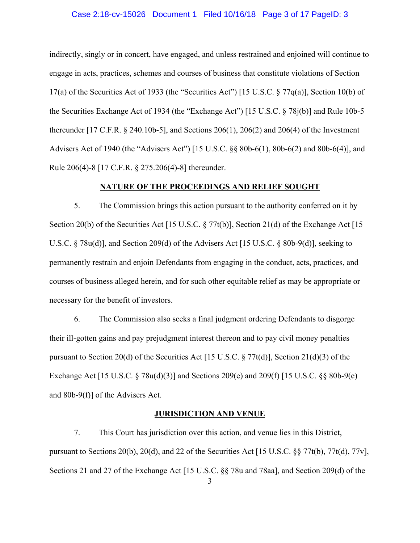#### Case 2:18-cv-15026 Document 1 Filed 10/16/18 Page 3 of 17 PageID: 3

indirectly, singly or in concert, have engaged, and unless restrained and enjoined will continue to engage in acts, practices, schemes and courses of business that constitute violations of Section 17(a) of the Securities Act of 1933 (the "Securities Act") [15 U.S.C. § 77q(a)], Section 10(b) of the Securities Exchange Act of 1934 (the "Exchange Act") [15 U.S.C. § 78j(b)] and Rule 10b-5 thereunder [17 C.F.R. § 240.10b-5], and Sections 206(1), 206(2) and 206(4) of the Investment Advisers Act of 1940 (the "Advisers Act") [15 U.S.C. §§ 80b-6(1), 80b-6(2) and 80b-6(4)], and Rule 206(4)-8 [17 C.F.R. § 275.206(4)-8] thereunder.

### **NATURE OF THE PROCEEDINGS AND RELIEF SOUGHT**

 5. The Commission brings this action pursuant to the authority conferred on it by Section 20(b) of the Securities Act [15 U.S.C. § 77t(b)], Section 21(d) of the Exchange Act [15 U.S.C. § 78u(d)], and Section 209(d) of the Advisers Act [15 U.S.C. § 80b-9(d)], seeking to permanently restrain and enjoin Defendants from engaging in the conduct, acts, practices, and courses of business alleged herein, and for such other equitable relief as may be appropriate or necessary for the benefit of investors.

 6. The Commission also seeks a final judgment ordering Defendants to disgorge their ill-gotten gains and pay prejudgment interest thereon and to pay civil money penalties pursuant to Section 20(d) of the Securities Act [15 U.S.C. § 77t(d)], Section 21(d)(3) of the Exchange Act [15 U.S.C. § 78u(d)(3)] and Sections 209(e) and 209(f) [15 U.S.C. §§ 80b-9(e) and 80b-9(f)] of the Advisers Act.

### **JURISDICTION AND VENUE**

 7. This Court has jurisdiction over this action, and venue lies in this District, pursuant to Sections 20(b), 20(d), and 22 of the Securities Act [15 U.S.C. §§ 77t(b), 77t(d), 77v], Sections 21 and 27 of the Exchange Act [15 U.S.C. §§ 78u and 78aa], and Section 209(d) of the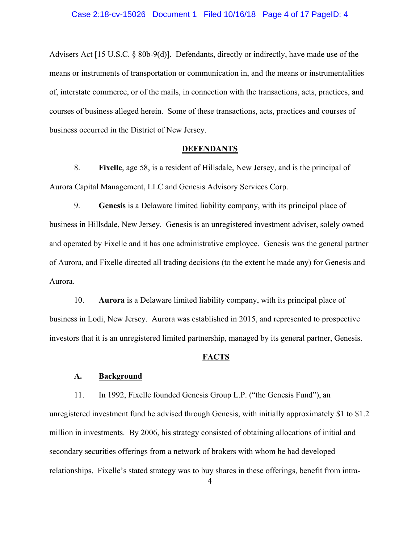Advisers Act [15 U.S.C. § 80b-9(d)]. Defendants, directly or indirectly, have made use of the means or instruments of transportation or communication in, and the means or instrumentalities of, interstate commerce, or of the mails, in connection with the transactions, acts, practices, and courses of business alleged herein. Some of these transactions, acts, practices and courses of business occurred in the District of New Jersey.

### **DEFENDANTS**

8. **Fixelle**, age 58, is a resident of Hillsdale, New Jersey, and is the principal of Aurora Capital Management, LLC and Genesis Advisory Services Corp.

9. **Genesis** is a Delaware limited liability company, with its principal place of business in Hillsdale, New Jersey. Genesis is an unregistered investment adviser, solely owned and operated by Fixelle and it has one administrative employee. Genesis was the general partner of Aurora, and Fixelle directed all trading decisions (to the extent he made any) for Genesis and Aurora.

 10. **Aurora** is a Delaware limited liability company, with its principal place of business in Lodi, New Jersey. Aurora was established in 2015, and represented to prospective investors that it is an unregistered limited partnership, managed by its general partner, Genesis.

#### **FACTS**

#### **A. Background**

11. In 1992, Fixelle founded Genesis Group L.P. ("the Genesis Fund"), an unregistered investment fund he advised through Genesis, with initially approximately \$1 to \$1.2 million in investments. By 2006, his strategy consisted of obtaining allocations of initial and secondary securities offerings from a network of brokers with whom he had developed relationships. Fixelle's stated strategy was to buy shares in these offerings, benefit from intra-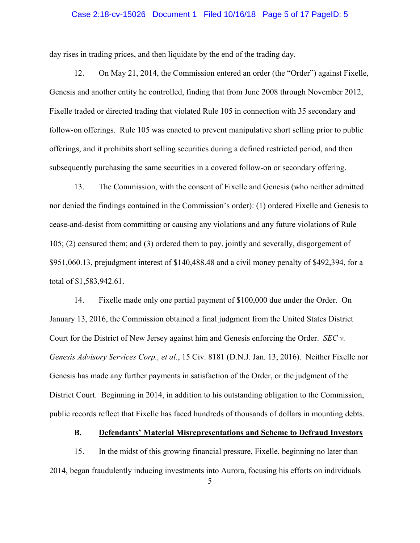#### Case 2:18-cv-15026 Document 1 Filed 10/16/18 Page 5 of 17 PageID: 5

day rises in trading prices, and then liquidate by the end of the trading day.

12. On May 21, 2014, the Commission entered an order (the "Order") against Fixelle, Genesis and another entity he controlled, finding that from June 2008 through November 2012, Fixelle traded or directed trading that violated Rule 105 in connection with 35 secondary and follow-on offerings. Rule 105 was enacted to prevent manipulative short selling prior to public offerings, and it prohibits short selling securities during a defined restricted period, and then subsequently purchasing the same securities in a covered follow-on or secondary offering.

13. The Commission, with the consent of Fixelle and Genesis (who neither admitted nor denied the findings contained in the Commission's order): (1) ordered Fixelle and Genesis to cease-and-desist from committing or causing any violations and any future violations of Rule 105; (2) censured them; and (3) ordered them to pay, jointly and severally, disgorgement of \$951,060.13, prejudgment interest of \$140,488.48 and a civil money penalty of \$492,394, for a total of \$1,583,942.61.

14. Fixelle made only one partial payment of \$100,000 due under the Order. On January 13, 2016, the Commission obtained a final judgment from the United States District Court for the District of New Jersey against him and Genesis enforcing the Order. *SEC v. Genesis Advisory Services Corp., et al.*, 15 Civ. 8181 (D.N.J. Jan. 13, 2016). Neither Fixelle nor Genesis has made any further payments in satisfaction of the Order, or the judgment of the District Court. Beginning in 2014, in addition to his outstanding obligation to the Commission, public records reflect that Fixelle has faced hundreds of thousands of dollars in mounting debts.

### **B. Defendants' Material Misrepresentations and Scheme to Defraud Investors**

15. In the midst of this growing financial pressure, Fixelle, beginning no later than 2014, began fraudulently inducing investments into Aurora, focusing his efforts on individuals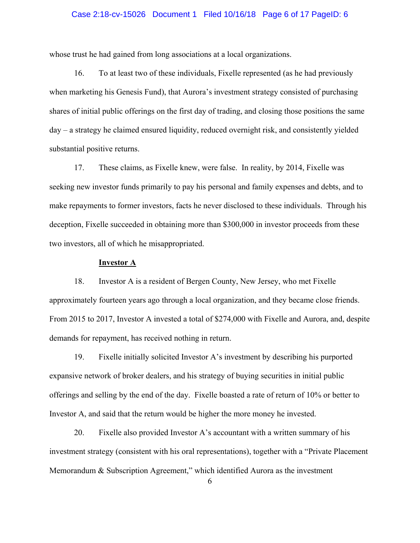#### Case 2:18-cv-15026 Document 1 Filed 10/16/18 Page 6 of 17 PageID: 6

whose trust he had gained from long associations at a local organizations.

16. To at least two of these individuals, Fixelle represented (as he had previously when marketing his Genesis Fund), that Aurora's investment strategy consisted of purchasing shares of initial public offerings on the first day of trading, and closing those positions the same day – a strategy he claimed ensured liquidity, reduced overnight risk, and consistently yielded substantial positive returns.

17. These claims, as Fixelle knew, were false. In reality, by 2014, Fixelle was seeking new investor funds primarily to pay his personal and family expenses and debts, and to make repayments to former investors, facts he never disclosed to these individuals. Through his deception, Fixelle succeeded in obtaining more than \$300,000 in investor proceeds from these two investors, all of which he misappropriated.

### **Investor A**

18. Investor A is a resident of Bergen County, New Jersey, who met Fixelle approximately fourteen years ago through a local organization, and they became close friends. From 2015 to 2017, Investor A invested a total of \$274,000 with Fixelle and Aurora, and, despite demands for repayment, has received nothing in return.

19. Fixelle initially solicited Investor A's investment by describing his purported expansive network of broker dealers, and his strategy of buying securities in initial public offerings and selling by the end of the day. Fixelle boasted a rate of return of 10% or better to Investor A, and said that the return would be higher the more money he invested.

 20. Fixelle also provided Investor A's accountant with a written summary of his investment strategy (consistent with his oral representations), together with a "Private Placement Memorandum & Subscription Agreement," which identified Aurora as the investment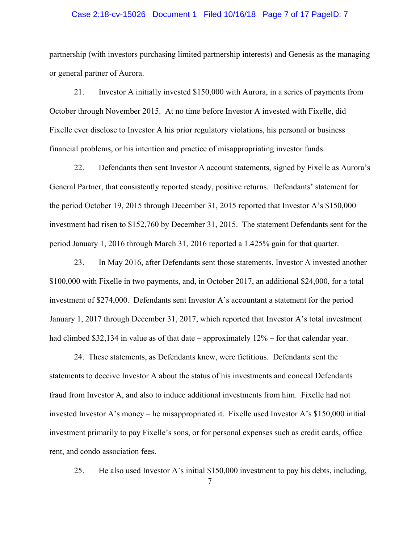#### Case 2:18-cv-15026 Document 1 Filed 10/16/18 Page 7 of 17 PageID: 7

partnership (with investors purchasing limited partnership interests) and Genesis as the managing or general partner of Aurora.

21. Investor A initially invested \$150,000 with Aurora, in a series of payments from October through November 2015. At no time before Investor A invested with Fixelle, did Fixelle ever disclose to Investor A his prior regulatory violations, his personal or business financial problems, or his intention and practice of misappropriating investor funds.

22. Defendants then sent Investor A account statements, signed by Fixelle as Aurora's General Partner, that consistently reported steady, positive returns. Defendants' statement for the period October 19, 2015 through December 31, 2015 reported that Investor A's \$150,000 investment had risen to \$152,760 by December 31, 2015. The statement Defendants sent for the period January 1, 2016 through March 31, 2016 reported a 1.425% gain for that quarter.

23. In May 2016, after Defendants sent those statements, Investor A invested another \$100,000 with Fixelle in two payments, and, in October 2017, an additional \$24,000, for a total investment of \$274,000. Defendants sent Investor A's accountant a statement for the period January 1, 2017 through December 31, 2017, which reported that Investor A's total investment had climbed \$32,134 in value as of that date – approximately  $12\%$  – for that calendar year.

24. These statements, as Defendants knew, were fictitious. Defendants sent the statements to deceive Investor A about the status of his investments and conceal Defendants fraud from Investor A, and also to induce additional investments from him. Fixelle had not invested Investor A's money – he misappropriated it. Fixelle used Investor A's \$150,000 initial investment primarily to pay Fixelle's sons, or for personal expenses such as credit cards, office rent, and condo association fees.

25. He also used Investor A's initial \$150,000 investment to pay his debts, including,

7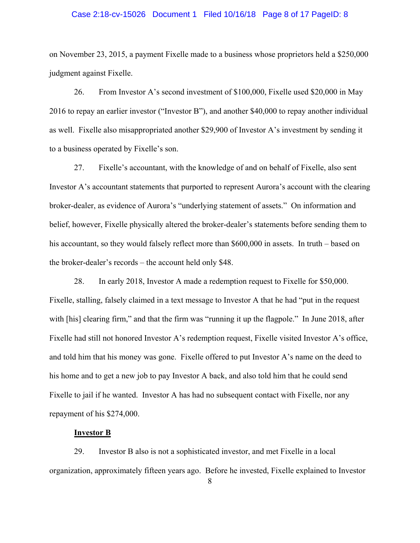#### Case 2:18-cv-15026 Document 1 Filed 10/16/18 Page 8 of 17 PageID: 8

on November 23, 2015, a payment Fixelle made to a business whose proprietors held a \$250,000 judgment against Fixelle.

26. From Investor A's second investment of \$100,000, Fixelle used \$20,000 in May 2016 to repay an earlier investor ("Investor B"), and another \$40,000 to repay another individual as well. Fixelle also misappropriated another \$29,900 of Investor A's investment by sending it to a business operated by Fixelle's son.

27. Fixelle's accountant, with the knowledge of and on behalf of Fixelle, also sent Investor A's accountant statements that purported to represent Aurora's account with the clearing broker-dealer, as evidence of Aurora's "underlying statement of assets." On information and belief, however, Fixelle physically altered the broker-dealer's statements before sending them to his accountant, so they would falsely reflect more than \$600,000 in assets. In truth – based on the broker-dealer's records – the account held only \$48.

 28. In early 2018, Investor A made a redemption request to Fixelle for \$50,000. Fixelle, stalling, falsely claimed in a text message to Investor A that he had "put in the request with [his] clearing firm," and that the firm was "running it up the flagpole." In June 2018, after Fixelle had still not honored Investor A's redemption request, Fixelle visited Investor A's office, and told him that his money was gone. Fixelle offered to put Investor A's name on the deed to his home and to get a new job to pay Investor A back, and also told him that he could send Fixelle to jail if he wanted. Investor A has had no subsequent contact with Fixelle, nor any repayment of his \$274,000.

### **Investor B**

29. Investor B also is not a sophisticated investor, and met Fixelle in a local organization, approximately fifteen years ago. Before he invested, Fixelle explained to Investor

8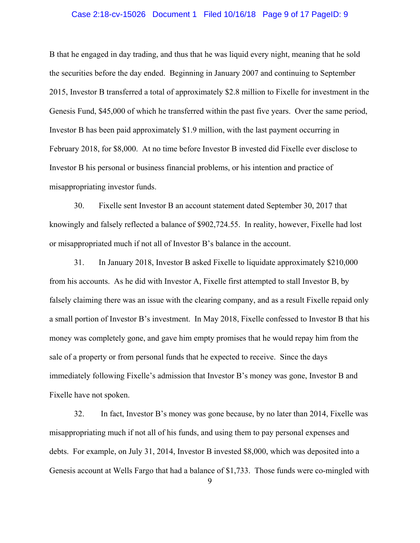#### Case 2:18-cv-15026 Document 1 Filed 10/16/18 Page 9 of 17 PageID: 9

B that he engaged in day trading, and thus that he was liquid every night, meaning that he sold the securities before the day ended. Beginning in January 2007 and continuing to September 2015, Investor B transferred a total of approximately \$2.8 million to Fixelle for investment in the Genesis Fund, \$45,000 of which he transferred within the past five years. Over the same period, Investor B has been paid approximately \$1.9 million, with the last payment occurring in February 2018, for \$8,000. At no time before Investor B invested did Fixelle ever disclose to Investor B his personal or business financial problems, or his intention and practice of misappropriating investor funds.

30. Fixelle sent Investor B an account statement dated September 30, 2017 that knowingly and falsely reflected a balance of \$902,724.55. In reality, however, Fixelle had lost or misappropriated much if not all of Investor B's balance in the account.

 31. In January 2018, Investor B asked Fixelle to liquidate approximately \$210,000 from his accounts. As he did with Investor A, Fixelle first attempted to stall Investor B, by falsely claiming there was an issue with the clearing company, and as a result Fixelle repaid only a small portion of Investor B's investment. In May 2018, Fixelle confessed to Investor B that his money was completely gone, and gave him empty promises that he would repay him from the sale of a property or from personal funds that he expected to receive. Since the days immediately following Fixelle's admission that Investor B's money was gone, Investor B and Fixelle have not spoken.

32. In fact, Investor B's money was gone because, by no later than 2014, Fixelle was misappropriating much if not all of his funds, and using them to pay personal expenses and debts. For example, on July 31, 2014, Investor B invested \$8,000, which was deposited into a Genesis account at Wells Fargo that had a balance of \$1,733. Those funds were co-mingled with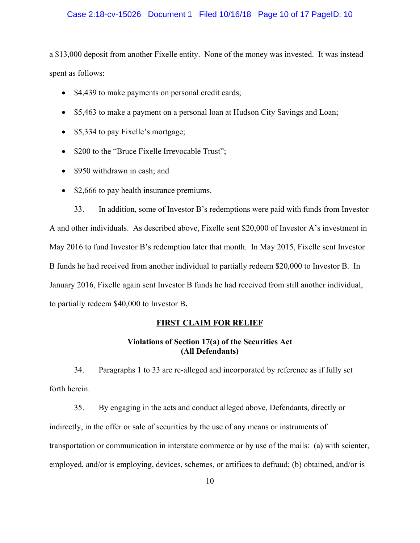### Case 2:18-cv-15026 Document 1 Filed 10/16/18 Page 10 of 17 PageID: 10

a \$13,000 deposit from another Fixelle entity. None of the money was invested. It was instead spent as follows:

- \$4,439 to make payments on personal credit cards;
- \$5,463 to make a payment on a personal loan at Hudson City Savings and Loan;
- \$5,334 to pay Fixelle's mortgage;
- \$200 to the "Bruce Fixelle Irrevocable Trust";
- \$950 withdrawn in cash; and
- \$2,666 to pay health insurance premiums.

 33. In addition, some of Investor B's redemptions were paid with funds from Investor A and other individuals. As described above, Fixelle sent \$20,000 of Investor A's investment in May 2016 to fund Investor B's redemption later that month. In May 2015, Fixelle sent Investor B funds he had received from another individual to partially redeem \$20,000 to Investor B. In January 2016, Fixelle again sent Investor B funds he had received from still another individual, to partially redeem \$40,000 to Investor B**.** 

### **FIRST CLAIM FOR RELIEF**

## **Violations of Section 17(a) of the Securities Act (All Defendants)**

34. Paragraphs 1 to 33 are re-alleged and incorporated by reference as if fully set forth herein.

35. By engaging in the acts and conduct alleged above, Defendants, directly or indirectly, in the offer or sale of securities by the use of any means or instruments of transportation or communication in interstate commerce or by use of the mails: (a) with scienter, employed, and/or is employing, devices, schemes, or artifices to defraud; (b) obtained, and/or is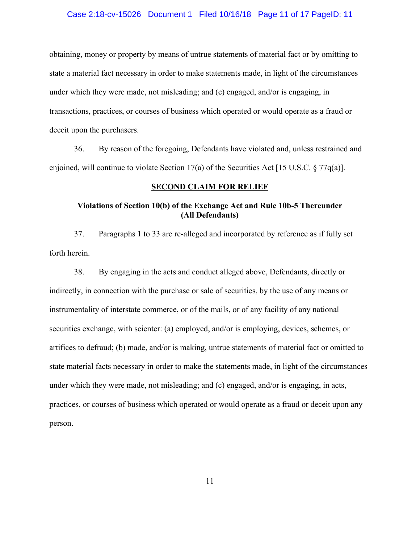### Case 2:18-cv-15026 Document 1 Filed 10/16/18 Page 11 of 17 PageID: 11

obtaining, money or property by means of untrue statements of material fact or by omitting to state a material fact necessary in order to make statements made, in light of the circumstances under which they were made, not misleading; and (c) engaged, and/or is engaging, in transactions, practices, or courses of business which operated or would operate as a fraud or deceit upon the purchasers.

36. By reason of the foregoing, Defendants have violated and, unless restrained and enjoined, will continue to violate Section 17(a) of the Securities Act [15 U.S.C. § 77q(a)].

### **SECOND CLAIM FOR RELIEF**

# **Violations of Section 10(b) of the Exchange Act and Rule 10b-5 Thereunder (All Defendants)**

37. Paragraphs 1 to 33 are re-alleged and incorporated by reference as if fully set forth herein.

38. By engaging in the acts and conduct alleged above, Defendants, directly or indirectly, in connection with the purchase or sale of securities, by the use of any means or instrumentality of interstate commerce, or of the mails, or of any facility of any national securities exchange, with scienter: (a) employed, and/or is employing, devices, schemes, or artifices to defraud; (b) made, and/or is making, untrue statements of material fact or omitted to state material facts necessary in order to make the statements made, in light of the circumstances under which they were made, not misleading; and (c) engaged, and/or is engaging, in acts, practices, or courses of business which operated or would operate as a fraud or deceit upon any person.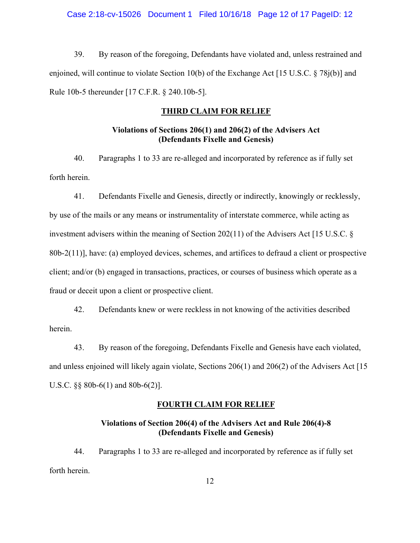### Case 2:18-cv-15026 Document 1 Filed 10/16/18 Page 12 of 17 PageID: 12

39. By reason of the foregoing, Defendants have violated and, unless restrained and enjoined, will continue to violate Section 10(b) of the Exchange Act [15 U.S.C. § 78j(b)] and Rule 10b-5 thereunder [17 C.F.R. § 240.10b-5].

### **THIRD CLAIM FOR RELIEF**

## **Violations of Sections 206(1) and 206(2) of the Advisers Act (Defendants Fixelle and Genesis)**

40. Paragraphs 1 to 33 are re-alleged and incorporated by reference as if fully set forth herein.

41. Defendants Fixelle and Genesis, directly or indirectly, knowingly or recklessly, by use of the mails or any means or instrumentality of interstate commerce, while acting as investment advisers within the meaning of Section 202(11) of the Advisers Act [15 U.S.C. § 80b-2(11)], have: (a) employed devices, schemes, and artifices to defraud a client or prospective client; and/or (b) engaged in transactions, practices, or courses of business which operate as a fraud or deceit upon a client or prospective client.

42. Defendants knew or were reckless in not knowing of the activities described herein.

43. By reason of the foregoing, Defendants Fixelle and Genesis have each violated, and unless enjoined will likely again violate, Sections 206(1) and 206(2) of the Advisers Act [15 U.S.C. §§ 80b-6(1) and 80b-6(2)].

### **FOURTH CLAIM FOR RELIEF**

# **Violations of Section 206(4) of the Advisers Act and Rule 206(4)-8 (Defendants Fixelle and Genesis)**

44. Paragraphs 1 to 33 are re-alleged and incorporated by reference as if fully set forth herein.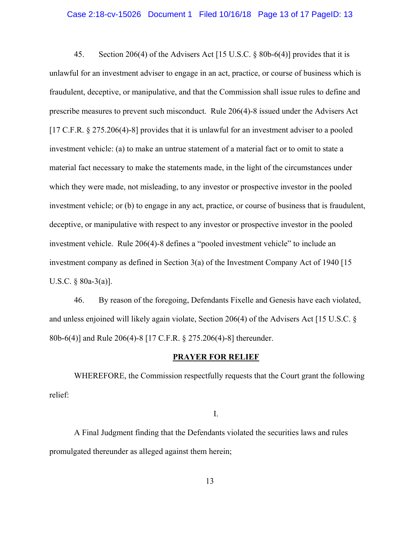### Case 2:18-cv-15026 Document 1 Filed 10/16/18 Page 13 of 17 PageID: 13

45. Section 206(4) of the Advisers Act [15 U.S.C. § 80b-6(4)] provides that it is unlawful for an investment adviser to engage in an act, practice, or course of business which is fraudulent, deceptive, or manipulative, and that the Commission shall issue rules to define and prescribe measures to prevent such misconduct. Rule 206(4)-8 issued under the Advisers Act [17 C.F.R. § 275.206(4)-8] provides that it is unlawful for an investment adviser to a pooled investment vehicle: (a) to make an untrue statement of a material fact or to omit to state a material fact necessary to make the statements made, in the light of the circumstances under which they were made, not misleading, to any investor or prospective investor in the pooled investment vehicle; or (b) to engage in any act, practice, or course of business that is fraudulent, deceptive, or manipulative with respect to any investor or prospective investor in the pooled investment vehicle. Rule 206(4)-8 defines a "pooled investment vehicle" to include an investment company as defined in Section 3(a) of the Investment Company Act of 1940 [15 U.S.C. § 80a-3(a)].

46. By reason of the foregoing, Defendants Fixelle and Genesis have each violated, and unless enjoined will likely again violate, Section 206(4) of the Advisers Act [15 U.S.C. § 80b-6(4)] and Rule 206(4)-8 [17 C.F.R. § 275.206(4)-8] thereunder.

#### **PRAYER FOR RELIEF**

 WHEREFORE, the Commission respectfully requests that the Court grant the following relief:

I.

 A Final Judgment finding that the Defendants violated the securities laws and rules promulgated thereunder as alleged against them herein;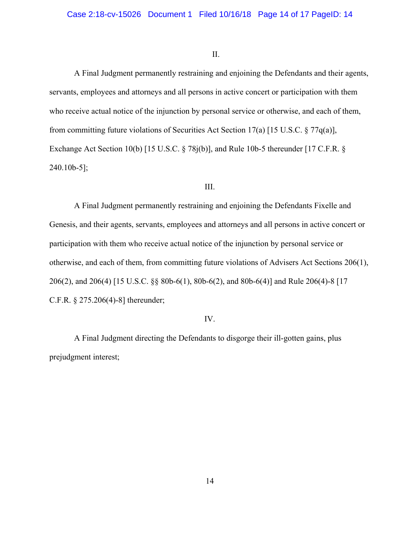### II.

 A Final Judgment permanently restraining and enjoining the Defendants and their agents, servants, employees and attorneys and all persons in active concert or participation with them who receive actual notice of the injunction by personal service or otherwise, and each of them, from committing future violations of Securities Act Section 17(a) [15 U.S.C. § 77q(a)], Exchange Act Section 10(b) [15 U.S.C. § 78j(b)], and Rule 10b-5 thereunder [17 C.F.R. § 240.10b-5];

### III.

A Final Judgment permanently restraining and enjoining the Defendants Fixelle and Genesis, and their agents, servants, employees and attorneys and all persons in active concert or participation with them who receive actual notice of the injunction by personal service or otherwise, and each of them, from committing future violations of Advisers Act Sections 206(1), 206(2), and 206(4) [15 U.S.C. §§ 80b-6(1), 80b-6(2), and 80b-6(4)] and Rule 206(4)-8 [17 C.F.R. § 275.206(4)-8] thereunder;

### IV.

 A Final Judgment directing the Defendants to disgorge their ill-gotten gains, plus prejudgment interest;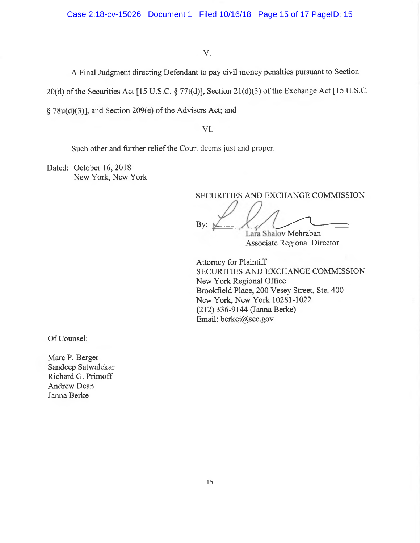### V.

<sup>A</sup> Final Judgment directing Defendant to pay civil money penalties pursuant to Section

<sup>2</sup>0(d) of the Securities Act [ 15 U.S.C. § 77t(d)], Section 21(d)(3) of the Exchange Act [ 15 U.S.C.

§ 78u(d)(3)], and Section 209(e) of the Advisers Act; and

VI.

Such other and further relief the Court deems just and proper.

Dated: October 16, 2018 New York, New York

SECURITIES AND EXCHANGE COMMISSION

By:

Lara Shalov Mehraban <sup>A</sup>ssociate Regional Director

<sup>A</sup>ttorney for Plaintiff SECURITIES AND EXCHANGE COMMISSION <sup>N</sup>ew York Regional Office <sup>B</sup>rookfield Place, 200 Vesey Street, Ste. 400 New York, New York 10281-1022 (212) 336-9144 (Janna Berke) <sup>E</sup>mail: berkej@sec.gov

Of Counsel:

Marc P. Berger Sandeep Satwalekar Richard G. Primoff Andrew Dean Janna Berke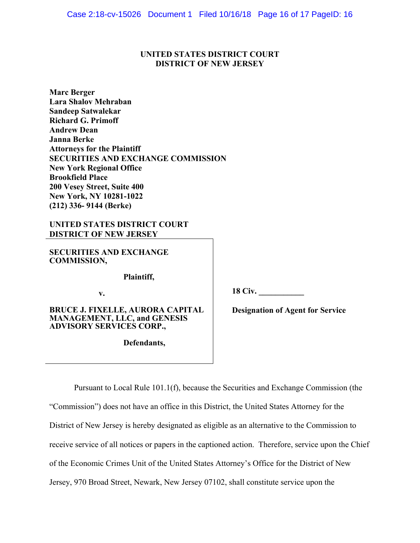## **UNITED STATES DISTRICT COURT DISTRICT OF NEW JERSEY**

**Marc Berger Lara Shalov Mehraban Sandeep Satwalekar Richard G. Primoff Andrew Dean Janna Berke Attorneys for the Plaintiff SECURITIES AND EXCHANGE COMMISSION New York Regional Office Brookfield Place 200 Vesey Street, Suite 400 New York, NY 10281-1022 (212) 336- 9144 (Berke)**

## **UNITED STATES DISTRICT COURT DISTRICT OF NEW JERSEY**

**SECURITIES AND EXCHANGE COMMISSION,** 

**Plaintiff,** 

**v.** 

**BRUCE J. FIXELLE, AURORA CAPITAL MANAGEMENT, LLC, and GENESIS ADVISORY SERVICES CORP.,** 

**Defendants,** 

**18 Civ. \_\_\_\_\_\_\_\_\_\_\_** 

**Designation of Agent for Service** 

Pursuant to Local Rule 101.1(f), because the Securities and Exchange Commission (the

"Commission") does not have an office in this District, the United States Attorney for the District of New Jersey is hereby designated as eligible as an alternative to the Commission to receive service of all notices or papers in the captioned action. Therefore, service upon the Chief of the Economic Crimes Unit of the United States Attorney's Office for the District of New Jersey, 970 Broad Street, Newark, New Jersey 07102, shall constitute service upon the